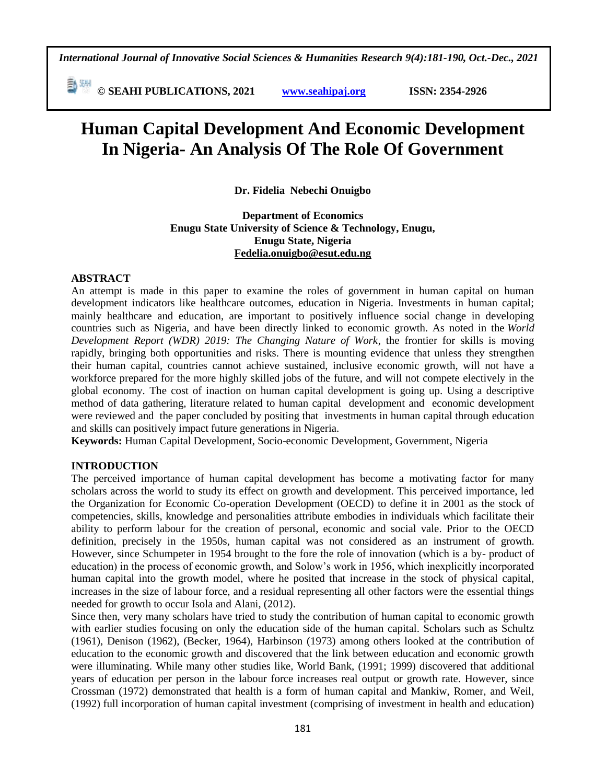*International Journal of Innovative Social Sciences & Humanities Research 9(4):181-190, Oct.-Dec., 2021*

**E**  $\frac{54}{30}$  **CM i i**s **C** SEAHI PUBLICATIONS, 2021 *www.seahipaj.org* **<b>issn:** 2354-2926

# **Human Capital Development And Economic Development In Nigeria- An Analysis Of The Role Of Government**

**Dr. Fidelia Nebechi Onuigbo**

# **Department of Economics Enugu State University of Science & Technology, Enugu, Enugu State, Nigeria [Fedelia.onuigbo@esut.edu.ng](mailto:Fedelia.onuigbo@esut.edu.ng)**

# **ABSTRACT**

An attempt is made in this paper to examine the roles of government in human capital on human development indicators like healthcare outcomes, education in Nigeria. Investments in human capital; mainly healthcare and education, are important to positively influence social change in developing countries such as Nigeria, and have been directly linked to economic growth. As noted in the *[World](https://www.worldbank.org/wdr2019)  [Development Report \(WDR\) 2019: The Changing Nature of Work](https://www.worldbank.org/wdr2019)*, the frontier for skills is moving rapidly, bringing both opportunities and risks. There is mounting evidence that unless they strengthen their human capital, countries cannot achieve sustained, inclusive economic growth, will not have a workforce prepared for the more highly skilled jobs of the future, and will not compete electively in the global economy. The cost of inaction on human capital development is going up. Using a descriptive method of data gathering, literature related to human capital development and economic development were reviewed and the paper concluded by positing that investments in human capital through education and skills can positively impact future generations in Nigeria.

**Keywords:** Human Capital Development, Socio-economic Development, Government, Nigeria

# **INTRODUCTION**

The perceived importance of human capital development has become a motivating factor for many scholars across the world to study its effect on growth and development. This perceived importance, led the Organization for Economic Co-operation Development (OECD) to define it in 2001 as the stock of competencies, skills, knowledge and personalities attribute embodies in individuals which facilitate their ability to perform labour for the creation of personal, economic and social vale. Prior to the OECD definition, precisely in the 1950s, human capital was not considered as an instrument of growth. However, since Schumpeter in 1954 brought to the fore the role of innovation (which is a by- product of education) in the process of economic growth, and Solow's work in 1956, which inexplicitly incorporated human capital into the growth model, where he posited that increase in the stock of physical capital, increases in the size of labour force, and a residual representing all other factors were the essential things needed for growth to occur Isola and Alani, (2012).

Since then, very many scholars have tried to study the contribution of human capital to economic growth with earlier studies focusing on only the education side of the human capital. Scholars such as Schultz (1961), Denison (1962), (Becker, 1964), Harbinson (1973) among others looked at the contribution of education to the economic growth and discovered that the link between education and economic growth were illuminating. While many other studies like, World Bank, (1991; 1999) discovered that additional years of education per person in the labour force increases real output or growth rate. However, since Crossman (1972) demonstrated that health is a form of human capital and Mankiw, Romer, and Weil, (1992) full incorporation of human capital investment (comprising of investment in health and education)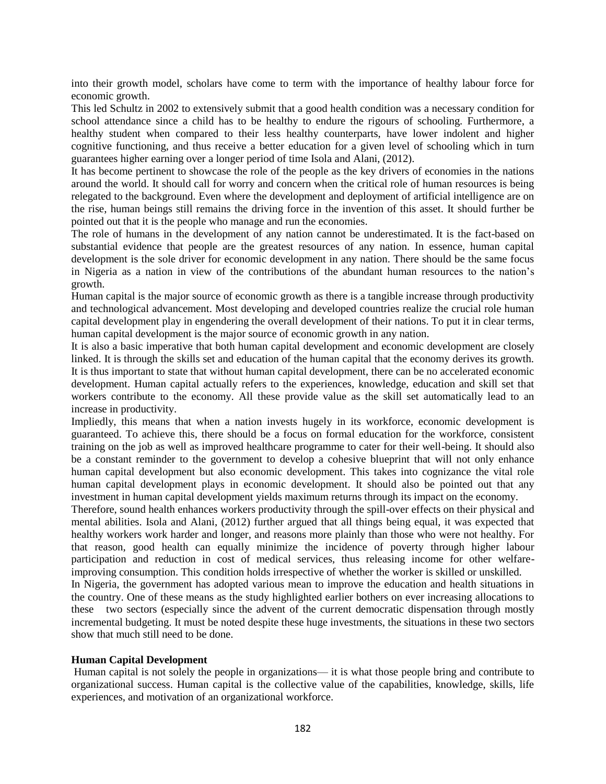into their growth model, scholars have come to term with the importance of healthy labour force for economic growth.

This led Schultz in 2002 to extensively submit that a good health condition was a necessary condition for school attendance since a child has to be healthy to endure the rigours of schooling. Furthermore, a healthy student when compared to their less healthy counterparts, have lower indolent and higher cognitive functioning, and thus receive a better education for a given level of schooling which in turn guarantees higher earning over a longer period of time Isola and Alani, (2012).

It has become pertinent to showcase the role of the people as the key drivers of economies in the nations around the world. It should call for worry and concern when the critical role of human resources is being relegated to the background. Even where the development and deployment of artificial intelligence are on the rise, human beings still remains the driving force in the invention of this asset. It should further be pointed out that it is the people who manage and run the economies.

The role of humans in the development of any nation cannot be underestimated. It is the fact-based on substantial evidence that people are the greatest resources of any nation. In essence, human capital development is the sole driver for economic development in any nation. There should be the same focus in Nigeria as a nation in view of the contributions of the abundant human resources to the nation's growth.

Human capital is the major source of economic growth as there is a tangible increase through productivity and technological advancement. Most developing and developed countries realize the crucial role human capital development play in engendering the overall development of their nations. To put it in clear terms, human capital development is the major source of economic growth in any nation.

It is also a basic imperative that both human capital development and economic development are closely linked. It is through the skills set and education of the human capital that the economy derives its growth. It is thus important to state that without human capital development, there can be no accelerated economic development. Human capital actually refers to the experiences, knowledge, education and skill set that workers contribute to the economy. All these provide value as the skill set automatically lead to an increase in productivity.

Impliedly, this means that when a nation invests hugely in its workforce, economic development is guaranteed. To achieve this, there should be a focus on formal education for the workforce, consistent training on the job as well as improved healthcare programme to cater for their well-being. It should also be a constant reminder to the government to develop a cohesive blueprint that will not only enhance human capital development but also economic development. This takes into cognizance the vital role human capital development plays in economic development. It should also be pointed out that any investment in human capital development yields maximum returns through its impact on the economy.

Therefore, sound health enhances workers productivity through the spill-over effects on their physical and mental abilities. Isola and Alani, (2012) further argued that all things being equal, it was expected that healthy workers work harder and longer, and reasons more plainly than those who were not healthy. For that reason, good health can equally minimize the incidence of poverty through higher labour participation and reduction in cost of medical services, thus releasing income for other welfareimproving consumption. This condition holds irrespective of whether the worker is skilled or unskilled.

In Nigeria, the government has adopted various mean to improve the education and health situations in the country. One of these means as the study highlighted earlier bothers on ever increasing allocations to these two sectors (especially since the advent of the current democratic dispensation through mostly incremental budgeting. It must be noted despite these huge investments, the situations in these two sectors show that much still need to be done.

# **Human Capital Development**

Human capital is not solely the people in organizations— it is what those people bring and contribute to organizational success. Human capital is the collective value of the capabilities, knowledge, skills, life experiences, and motivation of an organizational workforce.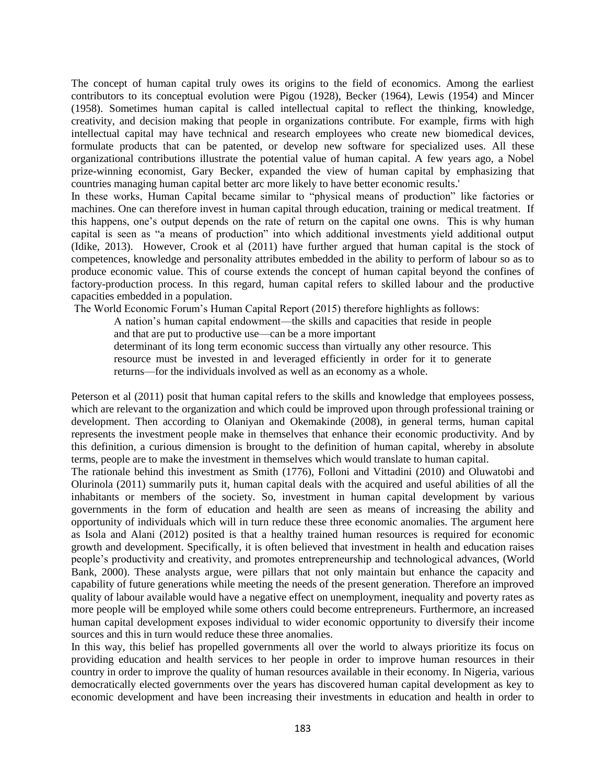The concept of human capital truly owes its origins to the field of economics. Among the earliest contributors to its conceptual evolution were Pigou (1928), Becker (1964), Lewis (1954) and Mincer (1958). Sometimes human capital is called intellectual capital to reflect the thinking, knowledge, creativity, and decision making that people in organizations contribute. For example, firms with high intellectual capital may have technical and research employees who create new biomedical devices, formulate products that can be patented, or develop new software for specialized uses. All these organizational contributions illustrate the potential value of human capital. A few years ago, a Nobel prize-winning economist, Gary Becker, expanded the view of human capital by emphasizing that countries managing human capital better arc more likely to have better economic results.'

In these works, Human Capital became similar to "physical means of production" like factories or machines. One can therefore invest in human capital through education, training or medical treatment. If this happens, one's output depends on the rate of return on the capital one owns. This is why human capital is seen as "a means of production" into which additional investments yield additional output (Idike, 2013). However, Crook et al (2011) have further argued that human capital is the stock of competences, knowledge and personality attributes embedded in the ability to perform of labour so as to produce economic value. This of course extends the concept of human capital beyond the confines of factory-production process. In this regard, human capital refers to skilled labour and the productive capacities embedded in a population.

The World Economic Forum's Human Capital Report (2015) therefore highlights as follows:

A nation's human capital endowment—the skills and capacities that reside in people and that are put to productive use—can be a more important

determinant of its long term economic success than virtually any other resource. This resource must be invested in and leveraged efficiently in order for it to generate returns—for the individuals involved as well as an economy as a whole.

Peterson et al (2011) posit that human capital refers to the skills and knowledge that employees possess, which are relevant to the organization and which could be improved upon through professional training or development. Then according to Olaniyan and Okemakinde (2008), in general terms, human capital represents the investment people make in themselves that enhance their economic productivity. And by this definition, a curious dimension is brought to the definition of human capital, whereby in absolute terms, people are to make the investment in themselves which would translate to human capital.

The rationale behind this investment as Smith (1776), Folloni and Vittadini (2010) and Oluwatobi and Olurinola (2011) summarily puts it, human capital deals with the acquired and useful abilities of all the inhabitants or members of the society. So, investment in human capital development by various governments in the form of education and health are seen as means of increasing the ability and opportunity of individuals which will in turn reduce these three economic anomalies. The argument here as Isola and Alani (2012) posited is that a healthy trained human resources is required for economic growth and development. Specifically, it is often believed that investment in health and education raises people's productivity and creativity, and promotes entrepreneurship and technological advances, (World Bank, 2000). These analysts argue, were pillars that not only maintain but enhance the capacity and capability of future generations while meeting the needs of the present generation. Therefore an improved quality of labour available would have a negative effect on unemployment, inequality and poverty rates as more people will be employed while some others could become entrepreneurs. Furthermore, an increased human capital development exposes individual to wider economic opportunity to diversify their income sources and this in turn would reduce these three anomalies.

In this way, this belief has propelled governments all over the world to always prioritize its focus on providing education and health services to her people in order to improve human resources in their country in order to improve the quality of human resources available in their economy. In Nigeria, various democratically elected governments over the years has discovered human capital development as key to economic development and have been increasing their investments in education and health in order to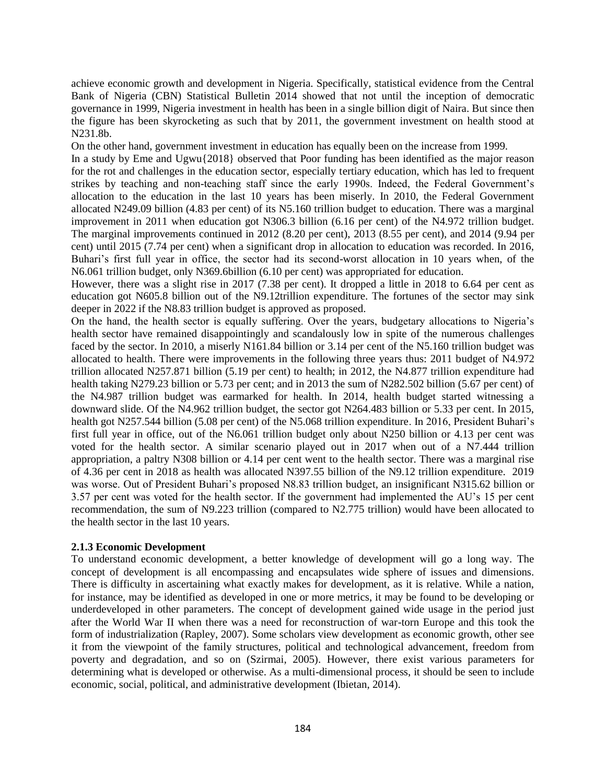achieve economic growth and development in Nigeria. Specifically, statistical evidence from the Central Bank of Nigeria (CBN) Statistical Bulletin 2014 showed that not until the inception of democratic governance in 1999, Nigeria investment in health has been in a single billion digit of Naira. But since then the figure has been skyrocketing as such that by 2011, the government investment on health stood at N231.8b.

On the other hand, government investment in education has equally been on the increase from 1999.

In a study by Eme and Ugwu{2018} observed that Poor funding has been identified as the major reason for the rot and challenges in the education sector, especially tertiary education, which has led to frequent strikes by teaching and non-teaching staff since the early 1990s. Indeed, the Federal Government's allocation to the education in the last 10 years has been miserly. In 2010, the Federal Government allocated N249.09 billion (4.83 per cent) of its N5.160 trillion budget to education. There was a marginal improvement in 2011 when education got N306.3 billion (6.16 per cent) of the N4.972 trillion budget. The marginal improvements continued in 2012 (8.20 per cent), 2013 (8.55 per cent), and 2014 (9.94 per cent) until 2015 (7.74 per cent) when a significant drop in allocation to education was recorded. In 2016, Buhari's first full year in office, the sector had its second-worst allocation in 10 years when, of the N6.061 trillion budget, only N369.6billion (6.10 per cent) was appropriated for education.

However, there was a slight rise in 2017 (7.38 per cent). It dropped a little in 2018 to 6.64 per cent as education got N605.8 billion out of the N9.12trillion expenditure. The fortunes of the sector may sink deeper in 2022 if the N8.83 trillion budget is approved as proposed.

On the hand, the health sector is equally suffering. Over the years, budgetary allocations to Nigeria's health sector have remained disappointingly and scandalously low in spite of the numerous challenges faced by the sector. In 2010, a miserly N161.84 billion or 3.14 per cent of the N5.160 trillion budget was allocated to health. There were improvements in the following three years thus: 2011 budget of N4.972 trillion allocated N257.871 billion (5.19 per cent) to health; in 2012, the N4.877 trillion expenditure had health taking N279.23 billion or 5.73 per cent; and in 2013 the sum of N282.502 billion (5.67 per cent) of the N4.987 trillion budget was earmarked for health. In 2014, health budget started witnessing a downward slide. Of the N4.962 trillion budget, the sector got N264.483 billion or 5.33 per cent. In 2015, health got N257.544 billion (5.08 per cent) of the N5.068 trillion expenditure. In 2016, President Buhari's first full year in office, out of the N6.061 trillion budget only about N250 billion or 4.13 per cent was voted for the health sector. A similar scenario played out in 2017 when out of a N7.444 trillion appropriation, a paltry N308 billion or 4.14 per cent went to the health sector. There was a marginal rise of 4.36 per cent in 2018 as health was allocated N397.55 billion of the N9.12 trillion expenditure. 2019 was worse. Out of President Buhari's proposed N8.83 trillion budget, an insignificant N315.62 billion or 3.57 per cent was voted for the health sector. If the government had implemented the AU's 15 per cent recommendation, the sum of N9.223 trillion (compared to N2.775 trillion) would have been allocated to the health sector in the last 10 years.

#### **2.1.3 Economic Development**

To understand economic development, a better knowledge of development will go a long way. The concept of development is all encompassing and encapsulates wide sphere of issues and dimensions. There is difficulty in ascertaining what exactly makes for development, as it is relative. While a nation, for instance, may be identified as developed in one or more metrics, it may be found to be developing or underdeveloped in other parameters. The concept of development gained wide usage in the period just after the World War II when there was a need for reconstruction of war-torn Europe and this took the form of industrialization (Rapley, 2007). Some scholars view development as economic growth, other see it from the viewpoint of the family structures, political and technological advancement, freedom from poverty and degradation, and so on (Szirmai, 2005). However, there exist various parameters for determining what is developed or otherwise. As a multi-dimensional process, it should be seen to include economic, social, political, and administrative development (Ibietan, 2014).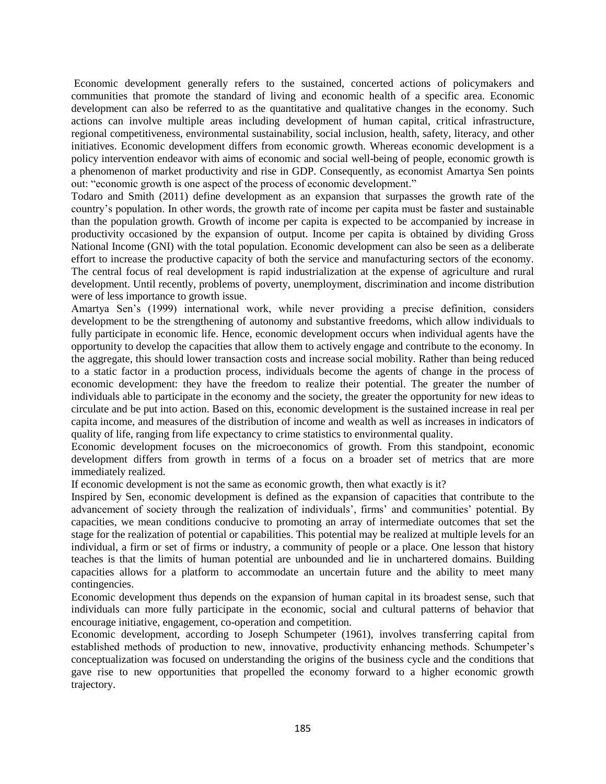Economic development generally refers to the sustained, concerted actions of policymakers and communities that promote the standard of living and economic health of a specific area. Economic development can also be referred to as the quantitative and qualitative changes in the economy. Such actions can involve multiple areas including development of human capital, critical infrastructure, regional competitiveness, environmental sustainability, social inclusion, health, safety, literacy, and other initiatives. Economic development differs from economic growth. Whereas economic development is a policy intervention endeavor with aims of economic and social well-being of people, economic growth is a phenomenon of market productivity and rise in GDP. Consequently, as economist Amartya Sen points out: "economic growth is one aspect of the process of economic development."

Todaro and Smith (2011) define development as an expansion that surpasses the growth rate of the country's population. In other words, the growth rate of income per capita must be faster and sustainable than the population growth. Growth of income per capita is expected to be accompanied by increase in productivity occasioned by the expansion of output. Income per capita is obtained by dividing Gross National Income (GNI) with the total population. Economic development can also be seen as a deliberate effort to increase the productive capacity of both the service and manufacturing sectors of the economy. The central focus of real development is rapid industrialization at the expense of agriculture and rural development. Until recently, problems of poverty, unemployment, discrimination and income distribution were of less importance to growth issue.

Amartya Sen's (1999) international work, while never providing a precise definition, considers development to be the strengthening of autonomy and substantive freedoms, which allow individuals to fully participate in economic life. Hence, economic development occurs when individual agents have the opportunity to develop the capacities that allow them to actively engage and contribute to the economy. In the aggregate, this should lower transaction costs and increase social mobility. Rather than being reduced to a static factor in a production process, individuals become the agents of change in the process of economic development: they have the freedom to realize their potential. The greater the number of individuals able to participate in the economy and the society, the greater the opportunity for new ideas to circulate and be put into action. Based on this, economic development is the sustained increase in real per capita income, and measures of the distribution of income and wealth as well as increases in indicators of quality of life, ranging from life expectancy to crime statistics to environmental quality.

Economic development focuses on the microeconomics of growth. From this standpoint, economic development differs from growth in terms of a focus on a broader set of metrics that are more immediately realized.

If economic development is not the same as economic growth, then what exactly is it?

Inspired by Sen, economic development is defined as the expansion of capacities that contribute to the advancement of society through the realization of individuals', firms' and communities' potential. By capacities, we mean conditions conducive to promoting an array of intermediate outcomes that set the stage for the realization of potential or capabilities. This potential may be realized at multiple levels for an individual, a firm or set of firms or industry, a community of people or a place. One lesson that history teaches is that the limits of human potential are unbounded and lie in unchartered domains. Building capacities allows for a platform to accommodate an uncertain future and the ability to meet many contingencies.

Economic development thus depends on the expansion of human capital in its broadest sense, such that individuals can more fully participate in the economic, social and cultural patterns of behavior that encourage initiative, engagement, co-operation and competition.

Economic development, according to Joseph Schumpeter (1961), involves transferring capital from established methods of production to new, innovative, productivity enhancing methods. Schumpeter's conceptualization was focused on understanding the origins of the business cycle and the conditions that gave rise to new opportunities that propelled the economy forward to a higher economic growth trajectory.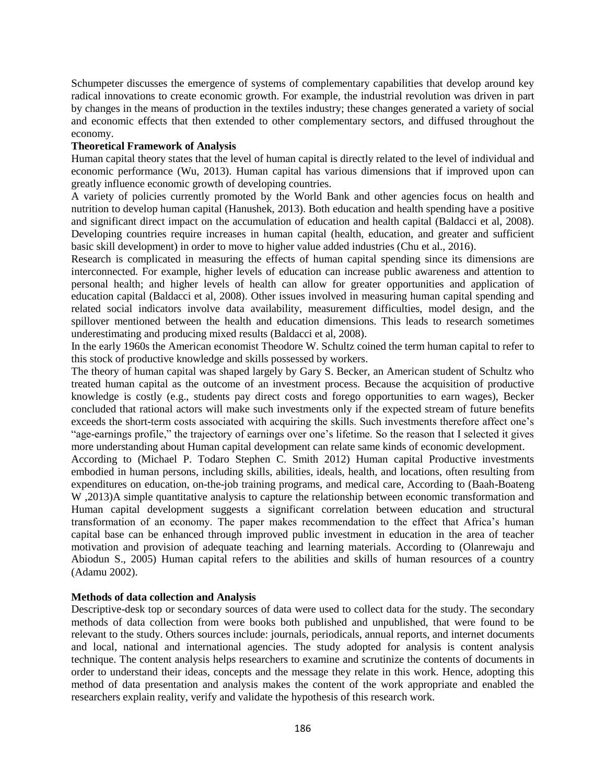Schumpeter discusses the emergence of systems of complementary capabilities that develop around key radical innovations to create economic growth. For example, the industrial revolution was driven in part by changes in the means of production in the textiles industry; these changes generated a variety of social and economic effects that then extended to other complementary sectors, and diffused throughout the economy.

#### **Theoretical Framework of Analysis**

Human capital theory states that the level of human capital is directly related to the level of individual and economic performance (Wu, 2013). Human capital has various dimensions that if improved upon can greatly influence economic growth of developing countries.

A variety of policies currently promoted by the World Bank and other agencies focus on health and nutrition to develop human capital (Hanushek, 2013). Both education and health spending have a positive and significant direct impact on the accumulation of education and health capital (Baldacci et al, 2008). Developing countries require increases in human capital (health, education, and greater and sufficient basic skill development) in order to move to higher value added industries (Chu et al., 2016).

Research is complicated in measuring the effects of human capital spending since its dimensions are interconnected. For example, higher levels of education can increase public awareness and attention to personal health; and higher levels of health can allow for greater opportunities and application of education capital (Baldacci et al, 2008). Other issues involved in measuring human capital spending and related social indicators involve data availability, measurement difficulties, model design, and the spillover mentioned between the health and education dimensions. This leads to research sometimes underestimating and producing mixed results (Baldacci et al, 2008).

In the early 1960s the American economist Theodore W. Schultz coined the term human capital to refer to this stock of productive knowledge and skills possessed by workers.

The theory of human capital was shaped largely by Gary S. Becker, an American student of Schultz who treated human capital as the outcome of an investment process. Because the acquisition of productive knowledge is costly (e.g., students pay direct costs and forego opportunities to earn wages), Becker concluded that rational actors will make such investments only if the expected stream of future benefits exceeds the short-term costs associated with acquiring the skills. Such investments therefore affect one's "age-earnings profile," the trajectory of earnings over one's lifetime. So the reason that I selected it gives more understanding about Human capital development can relate same kinds of economic development.

According to (Michael P. Todaro Stephen C. Smith 2012) Human capital Productive investments embodied in human persons, including skills, abilities, ideals, health, and locations, often resulting from expenditures on education, on-the-job training programs, and medical care, According to (Baah-Boateng W ,2013)A simple quantitative analysis to capture the relationship between economic transformation and Human capital development suggests a significant correlation between education and structural transformation of an economy. The paper makes recommendation to the effect that Africa's human capital base can be enhanced through improved public investment in education in the area of teacher motivation and provision of adequate teaching and learning materials. According to (Olanrewaju and Abiodun S., 2005) Human capital refers to the abilities and skills of human resources of a country (Adamu 2002).

# **Methods of data collection and Analysis**

Descriptive-desk top or secondary sources of data were used to collect data for the study. The secondary methods of data collection from were books both published and unpublished, that were found to be relevant to the study. Others sources include: journals, periodicals, annual reports, and internet documents and local, national and international agencies. The study adopted for analysis is content analysis technique. The content analysis helps researchers to examine and scrutinize the contents of documents in order to understand their ideas, concepts and the message they relate in this work. Hence, adopting this method of data presentation and analysis makes the content of the work appropriate and enabled the researchers explain reality, verify and validate the hypothesis of this research work.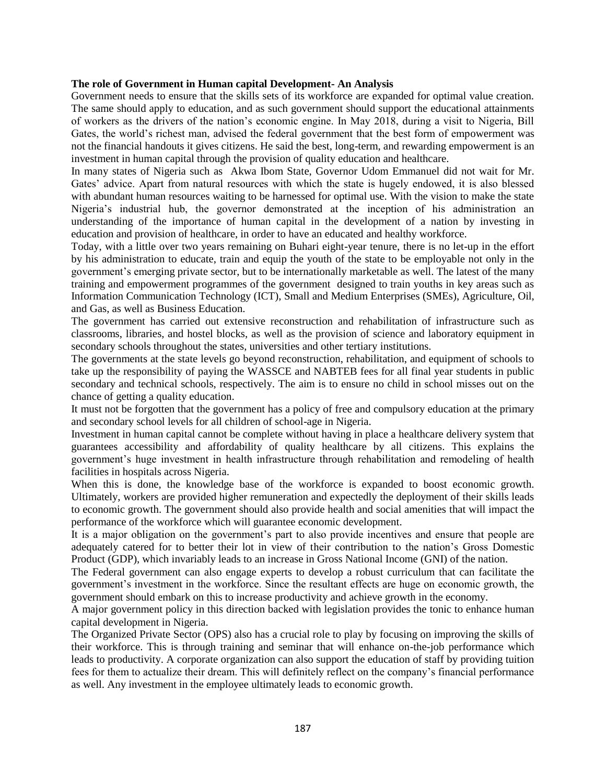#### **The role of Government in Human capital Development- An Analysis**

Government needs to ensure that the skills sets of its workforce are expanded for optimal value creation. The same should apply to education, and as such government should support the educational attainments of workers as the drivers of the nation's economic engine. In May 2018, during a visit to Nigeria, Bill Gates, the world's richest man, advised the federal government that the best form of empowerment was not the financial handouts it gives citizens. He said the best, long-term, and rewarding empowerment is an investment in human capital through the provision of quality education and healthcare.

In many states of Nigeria such as Akwa Ibom State, Governor Udom Emmanuel did not wait for Mr. Gates' advice. Apart from natural resources with which the state is hugely endowed, it is also blessed with abundant human resources waiting to be harnessed for optimal use. With the vision to make the state Nigeria's industrial hub, the governor demonstrated at the inception of his administration an understanding of the importance of human capital in the development of a nation by investing in education and provision of healthcare, in order to have an educated and healthy workforce.

Today, with a little over two years remaining on Buhari eight-year tenure, there is no let-up in the effort by his administration to educate, train and equip the youth of the state to be employable not only in the government's emerging private sector, but to be internationally marketable as well. The latest of the many training and empowerment programmes of the government designed to train youths in key areas such as Information Communication Technology (ICT), Small and Medium Enterprises (SMEs), Agriculture, Oil, and Gas, as well as Business Education.

The government has carried out extensive reconstruction and rehabilitation of infrastructure such as classrooms, libraries, and hostel blocks, as well as the provision of science and laboratory equipment in secondary schools throughout the states, universities and other tertiary institutions.

The governments at the state levels go beyond reconstruction, rehabilitation, and equipment of schools to take up the responsibility of paying the WASSCE and NABTEB fees for all final year students in public secondary and technical schools, respectively. The aim is to ensure no child in school misses out on the chance of getting a quality education.

It must not be forgotten that the government has a policy of free and compulsory education at the primary and secondary school levels for all children of school-age in Nigeria.

Investment in human capital cannot be complete without having in place a healthcare delivery system that guarantees accessibility and affordability of quality healthcare by all citizens. This explains the government's huge investment in health infrastructure through rehabilitation and remodeling of health facilities in hospitals across Nigeria.

When this is done, the knowledge base of the workforce is expanded to boost economic growth. Ultimately, workers are provided higher remuneration and expectedly the deployment of their skills leads to economic growth. The government should also provide health and social amenities that will impact the performance of the workforce which will guarantee economic development.

It is a major obligation on the government's part to also provide incentives and ensure that people are adequately catered for to better their lot in view of their contribution to the nation's Gross Domestic Product (GDP), which invariably leads to an increase in Gross National Income (GNI) of the nation.

The Federal government can also engage experts to develop a robust curriculum that can facilitate the government's investment in the workforce. Since the resultant effects are huge on economic growth, the government should embark on this to increase productivity and achieve growth in the economy.

A major government policy in this direction backed with legislation provides the tonic to enhance human capital development in Nigeria.

The Organized Private Sector (OPS) also has a crucial role to play by focusing on improving the skills of their workforce. This is through training and seminar that will enhance on-the-job performance which leads to productivity. A corporate organization can also support the education of staff by providing tuition fees for them to actualize their dream. This will definitely reflect on the company's financial performance as well. Any investment in the employee ultimately leads to economic growth.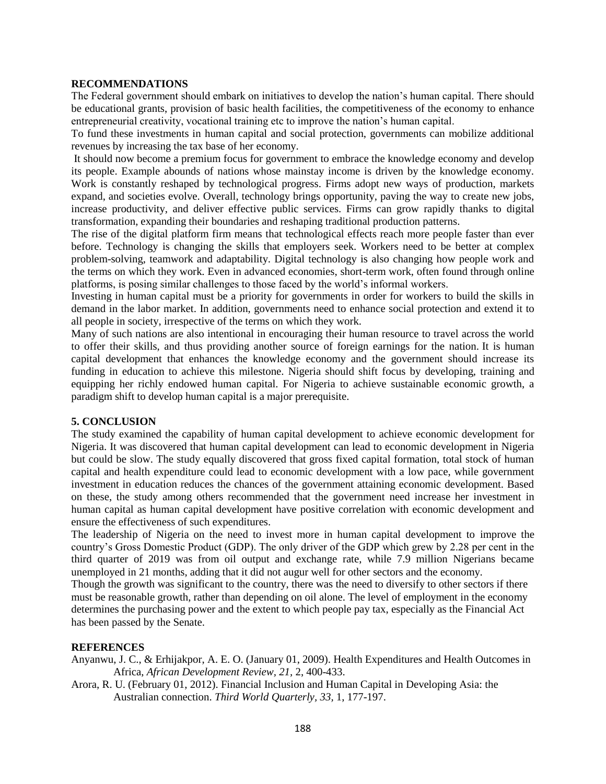#### **RECOMMENDATIONS**

The Federal government should embark on initiatives to develop the nation's human capital. There should be educational grants, provision of basic health facilities, the competitiveness of the economy to enhance entrepreneurial creativity, vocational training etc to improve the nation's human capital.

To fund these investments in human capital and social protection, governments can mobilize additional revenues by increasing the tax base of her economy.

It should now become a premium focus for government to embrace the knowledge economy and develop its people. Example abounds of nations whose mainstay income is driven by the knowledge economy. Work is constantly reshaped by technological progress. Firms adopt new ways of production, markets expand, and societies evolve. Overall, technology brings opportunity, paving the way to create new jobs, increase productivity, and deliver effective public services. Firms can grow rapidly thanks to digital transformation, expanding their boundaries and reshaping traditional production patterns.

The rise of the digital platform firm means that technological effects reach more people faster than ever before. Technology is changing the skills that employers seek. Workers need to be better at complex problem-solving, teamwork and adaptability. Digital technology is also changing how people work and the terms on which they work. Even in advanced economies, short-term work, often found through online platforms, is posing similar challenges to those faced by the world's informal workers.

Investing in human capital must be a priority for governments in order for workers to build the skills in demand in the labor market. In addition, governments need to enhance social protection and extend it to all people in society, irrespective of the terms on which they work.

Many of such nations are also intentional in encouraging their human resource to travel across the world to offer their skills, and thus providing another source of foreign earnings for the nation. It is human capital development that enhances the knowledge economy and the government should increase its funding in education to achieve this milestone. Nigeria should shift focus by developing, training and equipping her richly endowed human capital. For Nigeria to achieve sustainable economic growth, a paradigm shift to develop human capital is a major prerequisite.

# **5. CONCLUSION**

The study examined the capability of human capital development to achieve economic development for Nigeria. It was discovered that human capital development can lead to economic development in Nigeria but could be slow. The study equally discovered that gross fixed capital formation, total stock of human capital and health expenditure could lead to economic development with a low pace, while government investment in education reduces the chances of the government attaining economic development. Based on these, the study among others recommended that the government need increase her investment in human capital as human capital development have positive correlation with economic development and ensure the effectiveness of such expenditures.

The leadership of Nigeria on the need to invest more in human capital development to improve the country's Gross Domestic Product (GDP). The only driver of the GDP which grew by 2.28 per cent in the third quarter of 2019 was from oil output and exchange rate, while 7.9 million Nigerians became unemployed in 21 months, adding that it did not augur well for other sectors and the economy.

Though the growth was significant to the country, there was the need to diversify to other sectors if there must be reasonable growth, rather than depending on oil alone. The level of employment in the economy determines the purchasing power and the extent to which people pay tax, especially as the Financial Act has been passed by the Senate.

# **REFERENCES**

Anyanwu, J. C., & Erhijakpor, A. E. O. (January 01, 2009). Health Expenditures and Health Outcomes in Africa, *African Development Review, 21,* 2, 400-433.

Arora, R. U. (February 01, 2012). Financial Inclusion and Human Capital in Developing Asia: the Australian connection. *Third World Quarterly, 33,* 1, 177-197.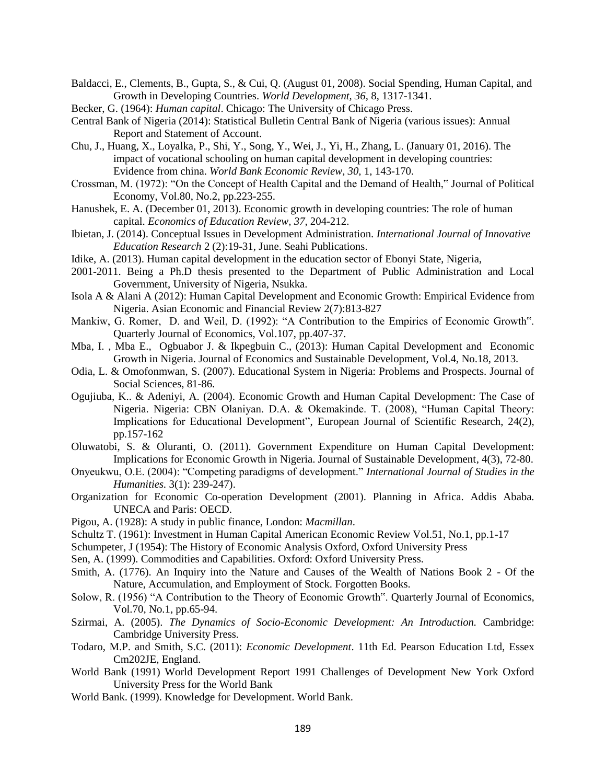- Baldacci, E., Clements, B., Gupta, S., & Cui, Q. (August 01, 2008). Social Spending, Human Capital, and Growth in Developing Countries. *World Development, 36,* 8, 1317-1341.
- Becker, G. (1964): *Human capital*. Chicago: The University of Chicago Press.
- Central Bank of Nigeria (2014): Statistical Bulletin Central Bank of Nigeria (various issues): Annual Report and Statement of Account.
- Chu, J., Huang, X., Loyalka, P., Shi, Y., Song, Y., Wei, J., Yi, H., Zhang, L. (January 01, 2016). The impact of vocational schooling on human capital development in developing countries: Evidence from china. *World Bank Economic Review, 30,* 1, 143-170.
- Crossman, M. (1972): "On the Concept of Health Capital and the Demand of Health," Journal of Political Economy, Vol.80, No.2, pp.223-255.
- Hanushek, E. A. (December 01, 2013). Economic growth in developing countries: The role of human capital. *Economics of Education Review, 37,* 204-212.
- Ibietan, J. (2014). Conceptual Issues in Development Administration. *International Journal of Innovative Education Research* 2 (2):19-31, June. Seahi Publications.
- Idike, A. (2013). Human capital development in the education sector of Ebonyi State, Nigeria,
- 2001-2011. Being a Ph.D thesis presented to the Department of Public Administration and Local Government, University of Nigeria, Nsukka.
- Isola A & Alani A (2012): Human Capital Development and Economic Growth: Empirical Evidence from Nigeria. Asian Economic and Financial Review 2(7):813-827
- Mankiw, G. Romer, D. and Weil, D. (1992): "A Contribution to the Empirics of Economic Growth". Quarterly Journal of Economics, Vol.107, pp.407-37.
- Mba, I. , Mba E., Ogbuabor J. & Ikpegbuin C., (2013): Human Capital Development and Economic Growth in Nigeria. Journal of Economics and Sustainable Development, Vol.4, No.18, 2013.
- Odia, L. & Omofonmwan, S. (2007). Educational System in Nigeria: Problems and Prospects. Journal of Social Sciences, 81-86.
- Ogujiuba, K.. & Adeniyi, A. (2004). Economic Growth and Human Capital Development: The Case of Nigeria. Nigeria: CBN Olaniyan. D.A. & Okemakinde. T. (2008), "Human Capital Theory: Implications for Educational Development", European Journal of Scientific Research, 24(2), pp.157-162
- Oluwatobi, S. & Oluranti, O. (2011). Government Expenditure on Human Capital Development: Implications for Economic Growth in Nigeria. Journal of Sustainable Development, 4(3), 72-80.
- Onyeukwu, O.E. (2004): "Competing paradigms of development." *International Journal of Studies in the Humanities.* 3(1): 239-247).
- Organization for Economic Co-operation Development (2001). Planning in Africa. Addis Ababa. UNECA and Paris: OECD.
- Pigou, A. (1928): A study in public finance, London: *Macmillan*.
- Schultz T. (1961): Investment in Human Capital American Economic Review Vol.51, No.1, pp.1-17
- Schumpeter, J (1954): The History of Economic Analysis Oxford, Oxford University Press
- Sen, A. (1999). Commodities and Capabilities. Oxford: Oxford University Press.
- Smith, A. (1776). An Inquiry into the Nature and Causes of the Wealth of Nations Book 2 Of the Nature, Accumulation, and Employment of Stock. Forgotten Books.
- Solow, R. (1956) "A Contribution to the Theory of Economic Growth". Quarterly Journal of Economics, Vol.70, No.1, pp.65-94.
- Szirmai, A. (2005). *The Dynamics of Socio-Economic Development: An Introduction.* Cambridge: Cambridge University Press.
- Todaro, M.P. and Smith, S.C. (2011): *Economic Development*. 11th Ed. Pearson Education Ltd, Essex Cm202JE, England.
- World Bank (1991) World Development Report 1991 Challenges of Development New York Oxford University Press for the World Bank
- World Bank. (1999). Knowledge for Development. World Bank.